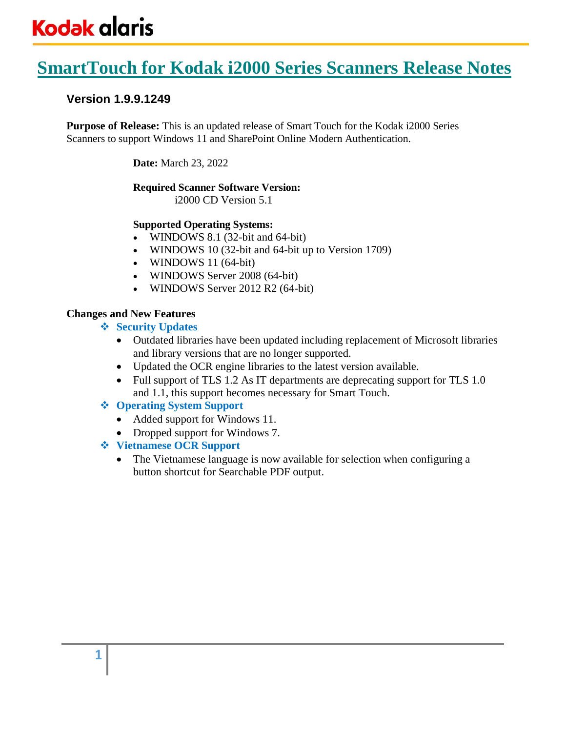# **SmartTouch for Kodak i2000 Series Scanners Release Notes**

# **Version 1.9.9.1249**

**Purpose of Release:** This is an updated release of Smart Touch for the Kodak i2000 Series Scanners to support Windows 11 and SharePoint Online Modern Authentication.

**Date:** March 23, 2022

### **Required Scanner Software Version:**

i2000 CD Version 5.1

# **Supported Operating Systems:**

- WINDOWS 8.1 (32-bit and 64-bit)
- WINDOWS 10 (32-bit and 64-bit up to Version 1709)
- WINDOWS 11 (64-bit)
- WINDOWS Server 2008 (64-bit)
- WINDOWS Server 2012 R2 (64-bit)

# **Changes and New Features**

- ❖ **Security Updates**
	- Outdated libraries have been updated including replacement of Microsoft libraries and library versions that are no longer supported.
	- Updated the OCR engine libraries to the latest version available.
	- Full support of TLS 1.2 As IT departments are deprecating support for TLS 1.0 and 1.1, this support becomes necessary for Smart Touch.
- ❖ **Operating System Support**
	- Added support for Windows 11.
	- Dropped support for Windows 7.
- ❖ **Vietnamese OCR Support**
	- The Vietnamese language is now available for selection when configuring a button shortcut for Searchable PDF output.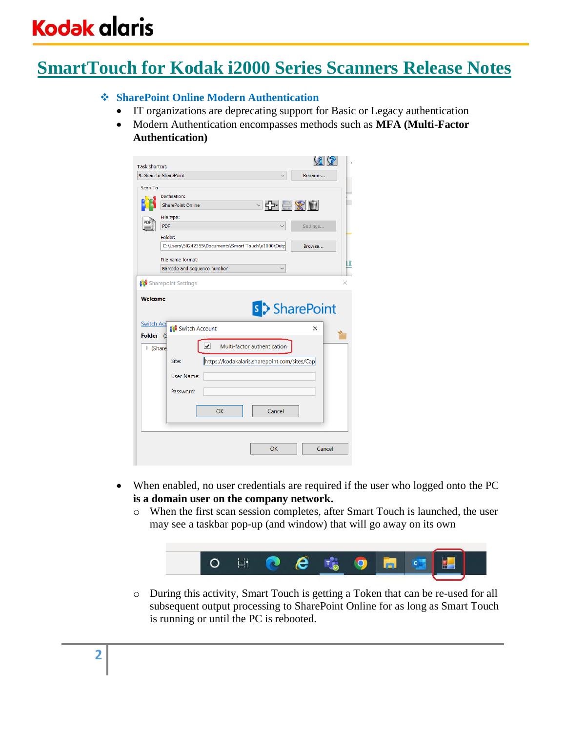# **SmartTouch for Kodak i2000 Series Scanners Release Notes**

## ❖ **SharePoint Online Modern Authentication**

- IT organizations are deprecating support for Basic or Legacy authentication
- Modern Authentication encompasses methods such as **MFA (Multi-Factor Authentication)**

| <b>Task shortcut:</b>              |                                                       | <u> 61 (5)</u>             |
|------------------------------------|-------------------------------------------------------|----------------------------|
|                                    | 9. Scan to SharePoint                                 | Rename                     |
| <b>Scan To</b>                     | Destination:<br>○라르⊗한<br><b>SharePoint Online</b>     |                            |
|                                    | File type:                                            |                            |
|                                    | <b>PDF</b><br>$\checkmark$                            | Settings                   |
|                                    | Folder:                                               |                            |
|                                    | C:\Users\50242355\Documents\Smart Touch\e1000\Outp    | Browse                     |
|                                    |                                                       |                            |
|                                    | File name format:                                     | п                          |
|                                    | Barcode and sequence number                           |                            |
| <b>Switch Acd</b><br><b>Folder</b> | Switch Account<br>(S                                  | <b>s</b> > SharePoint<br>X |
| $\triangleright$ (Share            | ⊽<br>Multi-factor authentication                      |                            |
|                                    | Site:<br>https://kodakalaris.sharepoint.com/sites/Cap |                            |
|                                    | User Name:                                            |                            |
|                                    | Password:                                             |                            |
|                                    | OK<br>Cancel                                          |                            |
|                                    | OK                                                    | Cancel                     |

- When enabled, no user credentials are required if the user who logged onto the PC **is a domain user on the company network.**
	- o When the first scan session completes, after Smart Touch is launched, the user may see a taskbar pop-up (and window) that will go away on its own



o During this activity, Smart Touch is getting a Token that can be re-used for all subsequent output processing to SharePoint Online for as long as Smart Touch is running or until the PC is rebooted.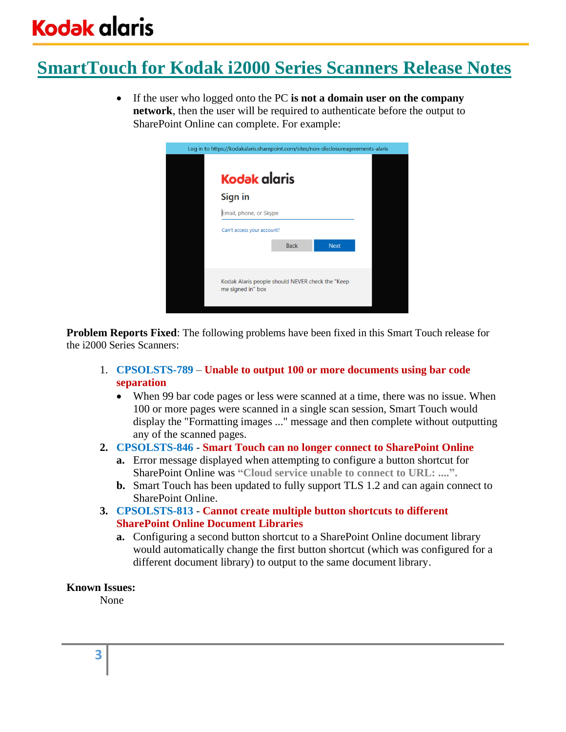# **SmartTouch for Kodak i2000 Series Scanners Release Notes**

• If the user who logged onto the PC **is not a domain user on the company network**, then the user will be required to authenticate before the output to SharePoint Online can complete. For example:



**Problem Reports Fixed**: The following problems have been fixed in this Smart Touch release for the i2000 Series Scanners:

- 1. **CPSOLSTS-789 Unable to output 100 or more documents using bar code separation**
	- When 99 bar code pages or less were scanned at a time, there was no issue. When 100 or more pages were scanned in a single scan session, Smart Touch would display the "Formatting images ..." message and then complete without outputting any of the scanned pages.
- **2. CPSOLSTS-846 Smart Touch can no longer connect to SharePoint Online**
	- **a.** Error message displayed when attempting to configure a button shortcut for SharePoint Online was **"Cloud service unable to connect to URL: ....".**
	- **b.** Smart Touch has been updated to fully support TLS 1.2 and can again connect to SharePoint Online.
- **3. CPSOLSTS-813 Cannot create multiple button shortcuts to different SharePoint Online Document Libraries**
	- **a.** Configuring a second button shortcut to a SharePoint Online document library would automatically change the first button shortcut (which was configured for a different document library) to output to the same document library.

### **Known Issues:**

None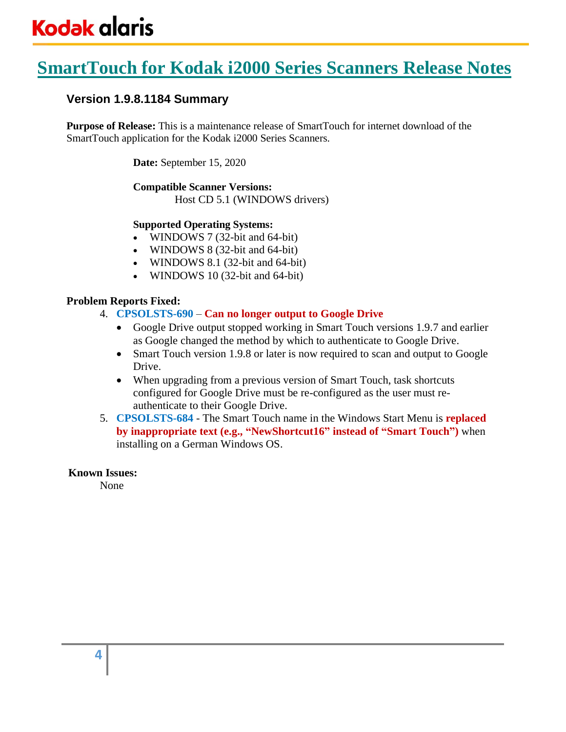# **SmartTouch for Kodak i2000 Series Scanners Release Notes**

# **Version 1.9.8.1184 Summary**

**Purpose of Release:** This is a maintenance release of SmartTouch for internet download of the SmartTouch application for the Kodak i2000 Series Scanners.

**Date:** September 15, 2020

# **Compatible Scanner Versions:**

Host CD 5.1 (WINDOWS drivers)

# **Supported Operating Systems:**

- WINDOWS 7 (32-bit and 64-bit)
- WINDOWS 8 (32-bit and 64-bit)
- WINDOWS 8.1 (32-bit and 64-bit)
- WINDOWS 10 (32-bit and 64-bit)

# **Problem Reports Fixed:**

- 4. **CPSOLSTS-690 Can no longer output to Google Drive**
	- Google Drive output stopped working in Smart Touch versions 1.9.7 and earlier as Google changed the method by which to authenticate to Google Drive.
	- Smart Touch version 1.9.8 or later is now required to scan and output to Google Drive.
	- When upgrading from a previous version of Smart Touch, task shortcuts configured for Google Drive must be re-configured as the user must reauthenticate to their Google Drive.
- 5. **CPSOLSTS-684** The Smart Touch name in the Windows Start Menu is **replaced by inappropriate text (e.g., "NewShortcut16" instead of "Smart Touch")** when installing on a German Windows OS.

### **Known Issues:**

None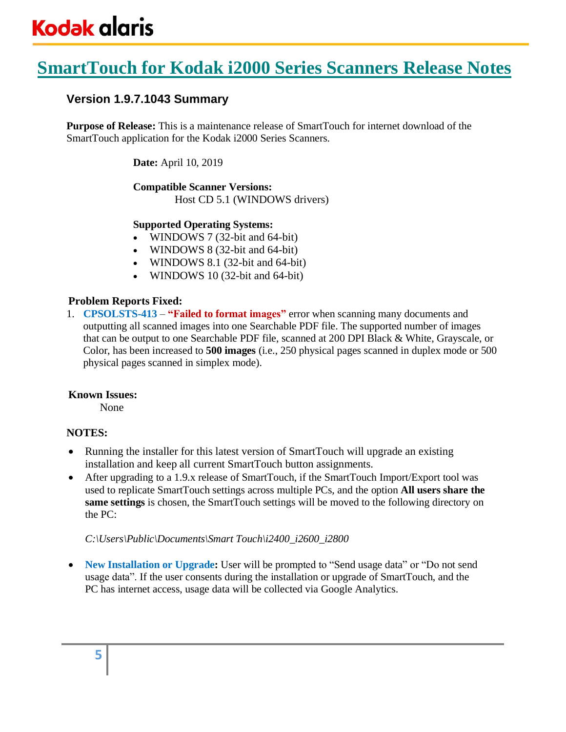# **SmartTouch for Kodak i2000 Series Scanners Release Notes**

# **Version 1.9.7.1043 Summary**

**Purpose of Release:** This is a maintenance release of SmartTouch for internet download of the SmartTouch application for the Kodak i2000 Series Scanners.

**Date:** April 10, 2019

# **Compatible Scanner Versions:**

Host CD 5.1 (WINDOWS drivers)

# **Supported Operating Systems:**

- WINDOWS 7 (32-bit and 64-bit)
- WINDOWS 8 (32-bit and 64-bit)
- WINDOWS 8.1 (32-bit and 64-bit)
- WINDOWS 10 (32-bit and 64-bit)

# **Problem Reports Fixed:**

1. **CPSOLSTS-413** – **"Failed to format images"** error when scanning many documents and outputting all scanned images into one Searchable PDF file. The supported number of images that can be output to one Searchable PDF file, scanned at 200 DPI Black & White, Grayscale, or Color, has been increased to **500 images** (i.e., 250 physical pages scanned in duplex mode or 500 physical pages scanned in simplex mode).

# **Known Issues:**

None

# **NOTES:**

- Running the installer for this latest version of SmartTouch will upgrade an existing installation and keep all current SmartTouch button assignments.
- After upgrading to a 1.9.x release of SmartTouch, if the SmartTouch Import/Export tool was used to replicate SmartTouch settings across multiple PCs, and the option **All users share the same settings** is chosen, the SmartTouch settings will be moved to the following directory on the PC:

### *C:\Users\Public\Documents\Smart Touch\i2400\_i2600\_i2800*

• **New Installation or Upgrade:** User will be prompted to "Send usage data" or "Do not send usage data". If the user consents during the installation or upgrade of SmartTouch, and the PC has internet access, usage data will be collected via Google Analytics.